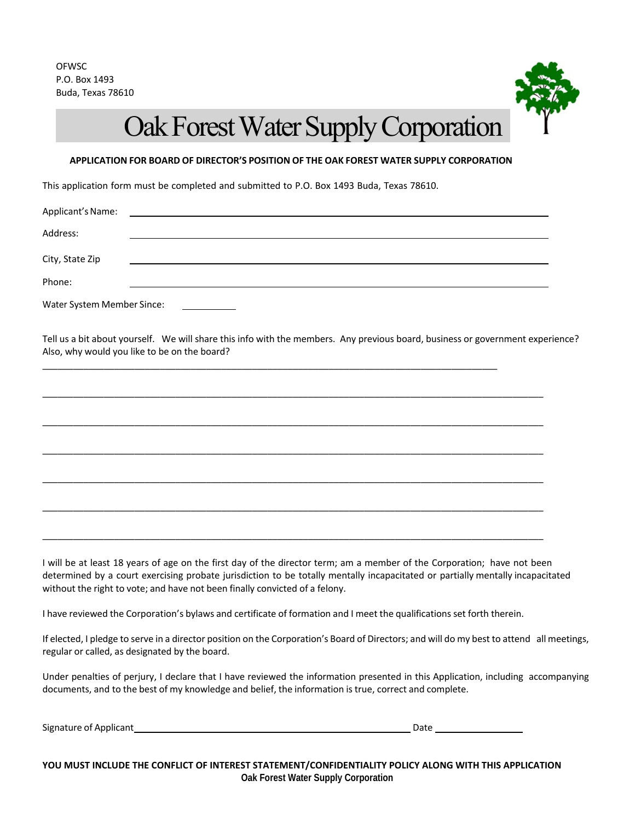

## Oak Forest Water Supply Corporation

## **APPLICATION FOR BOARD OF DIRECTOR'S POSITION OF THE OAK FOREST WATER SUPPLY CORPORATION**

This application form must be completed and submitted to P.O. Box 1493 Buda, Texas 78610.

| Applicant's Name:                                                                                                                                                                                                                                                                                                                        |
|------------------------------------------------------------------------------------------------------------------------------------------------------------------------------------------------------------------------------------------------------------------------------------------------------------------------------------------|
| Address:                                                                                                                                                                                                                                                                                                                                 |
| City, State Zip                                                                                                                                                                                                                                                                                                                          |
| Phone:                                                                                                                                                                                                                                                                                                                                   |
| Water System Member Since:                                                                                                                                                                                                                                                                                                               |
| Tell us a bit about yourself. We will share this info with the members. Any previous board, business or government experience?<br>Also, why would you like to be on the board?                                                                                                                                                           |
|                                                                                                                                                                                                                                                                                                                                          |
|                                                                                                                                                                                                                                                                                                                                          |
|                                                                                                                                                                                                                                                                                                                                          |
|                                                                                                                                                                                                                                                                                                                                          |
|                                                                                                                                                                                                                                                                                                                                          |
|                                                                                                                                                                                                                                                                                                                                          |
|                                                                                                                                                                                                                                                                                                                                          |
| I will be at least 18 years of age on the first day of the director term; am a member of the Corporation; have not been<br>determined by a court exercising probate jurisdiction to be totally mentally incapacitated or partially mentally incapacitated<br>without the right to vote; and have not been finally convicted of a felony. |
| I have reviewed the Corporation's bylaws and certificate of formation and I meet the qualifications set forth therein.                                                                                                                                                                                                                   |
| If elected, I pledge to serve in a director position on the Corporation's Board of Directors; and will do my best to attend all meetings,<br>regular or called, as designated by the board.                                                                                                                                              |

Under penalties of perjury, I declare that I have reviewed the information presented in this Application, including accompanying documents, and to the best of my knowledge and belief, the information is true, correct and complete.

Signature of Applicant\_

| Date |
|------|
|------|

**YOU MUST INCLUDE THE CONFLICT OF INTEREST STATEMENT/CONFIDENTIALITY POLICY ALONG WITH THIS APPLICATION Oak Forest Water Supply Corporation**